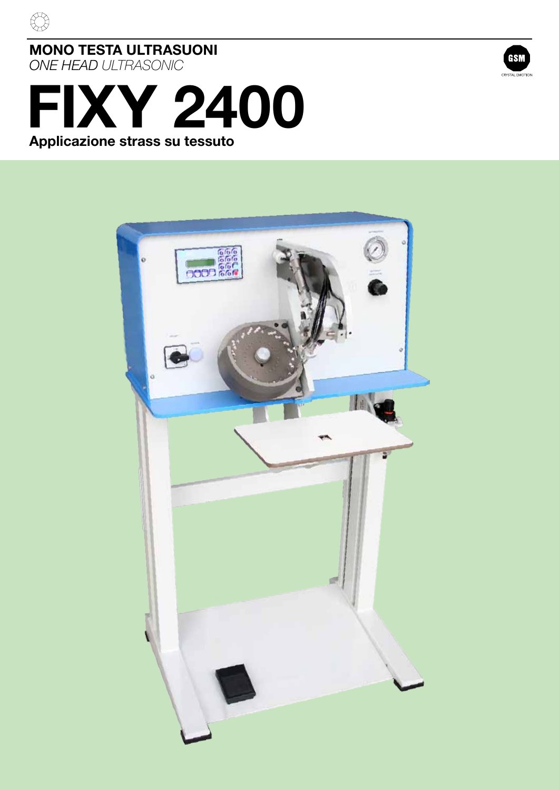

 $\bigoplus$ 



# **FIXY 2400 Applicazione strass su tessuto**